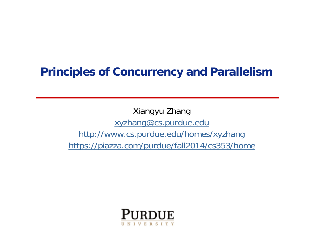### **Principles of Concurrency and Parallelism**

Xiangyu Zhang xyzhang@cs.purdue.edu http://www.cs.purdue.edu/homes/xyzhang https://piazza.com/purdue/fall2014/cs353/home

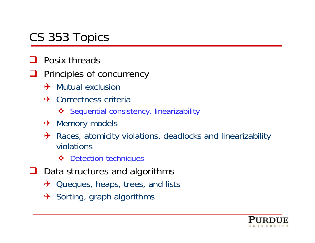# CS 353 Topics

- $\Box$ Posix threads
- $\sqcup$  Principles of concurrency
	- $\rightarrow$  Mutual exclusion
	- $\rightarrow$  Correctness criteria
		- **❖** Sequential consistency, linearizability
	- $\rightarrow$  Memory models
	- $\rightarrow$  Races, atomicity violations, deadlocks and linearizability violations
		- **❖** Detection techniques
- $\Box$  Data structures and algorithms
	- $\rightarrow$  Queques, heaps, trees, and lists
	- $\rightarrow$  Sorting, graph algorithms

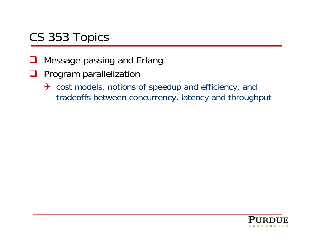# CS 353 Topics

- $\Box$ Message passing and Erlang
- $\sqcup$  Program parallelization
	- $\rightarrow$  cost models, notions of speedup and efficiency, and tradeoffs between concurrency, latency and throughput

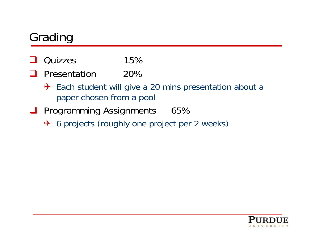# Grading

- $\Box$ Quizzes 15%
- H Presentation 20%
	- $\rightarrow$  Each student will give a 20 mins presentation about a paper chosen from a pool
- **Q** Programming Assignments 65%
	- → 6 projects (roughly one project per 2 weeks)

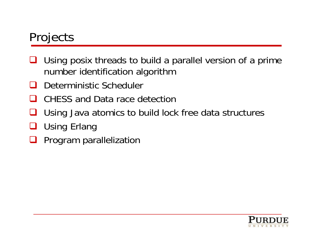# Projects

- ⊔ Using posix threads to build a parallel version of a prime number identification algorithm
- H Deterministic Scheduler
- $\mathbf{I}$ CHESS and Data race detection
- $\Box$ Using Java atomics to build lock free data structures
- $\sqcup$ Using Erlang
- $\Box$ Program parallelization

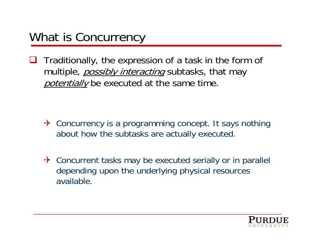$\Box$  Traditionally, the expression of a task in the form of multiple, *possibly interacting* subtasks, that may potentially be executed at the same time.

- $\rightarrow$  Concurrency is a programming concept. It says nothing about how the subtasks are actually executed.
- $\rightarrow$  Concurrent tasks may be executed serially or in parallel depending upon the underlying physical resources available.

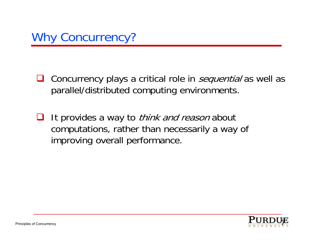$\sqcup$ Concurrency plays a critical role in *sequential* as well as parallel/distributed computing environments.

 $\Box$ It provides a way to *think and reason* about computations, rather than necessarily a way of improving overall performance.

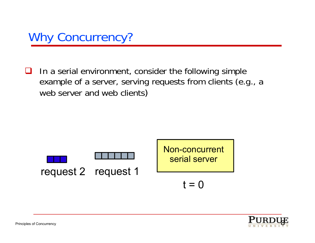

 $\Box$  In a serial environment, consider the following simple example of a server, serving requests from clients (e.g., a web server and web clients)



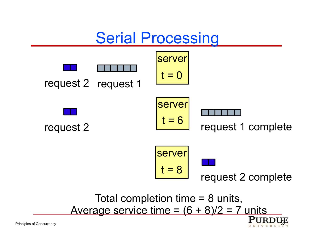# Serial Processing

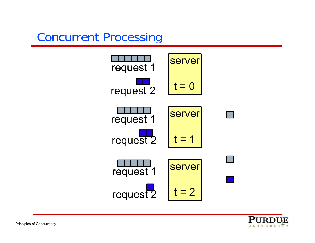# Concurrent Processing



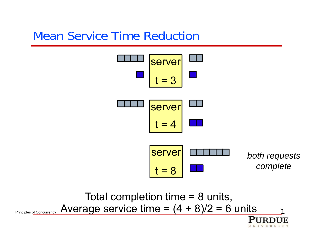# Mean Service Time Reduction



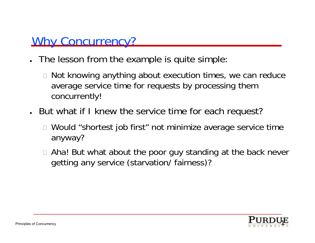### Why Concurrency?

- The lesson from the example is quite simple:
	- $\scriptstyle\Box$  Not knowing anything about execution times, we can reduce average service time for requests by processing them concurrently!
- But what if I knew the service time for each request?
	- Would "shortest job first" not minimize average service time anyway?
	- $\mathcal{L}_{\mathcal{A}}$  Aha! But what about the poor guy standing at the back never getting any service (starvation/ fairness)?

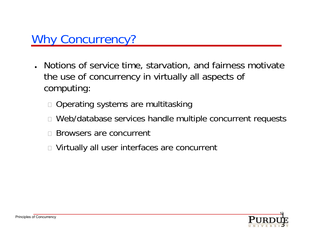- Notions of service time, starvation, and fairness motivate the use of concurrency in virtually all aspects of computing:
	- $\scriptstyle\Box$  Operating systems are multitasking
	- $\Box$ Web/database services handle multiple concurrent requests
	- $\mathcal{L}_{\mathcal{A}}$ Browsers are concurrent
	- $\scriptstyle\Box$  Virtually all user interfaces are concurrent

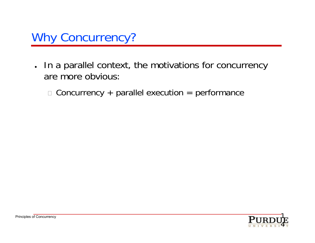

- In a parallel context, the motivations for concurrency are more obvious:
	- $\Box$  Concurrency + parallel execution = performance

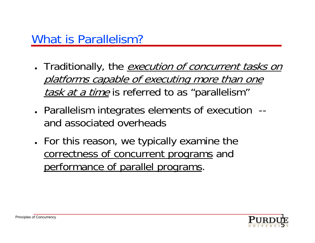- Traditionally, the *execution of concurrent tasks on* platforms capable of executing more than one task at a time is referred to as "parallelism"
- Parallelism integrates elements of execution -and associated overheads
- For this reason, we typically examine the correctness of concurrent programs and performance of parallel programs.

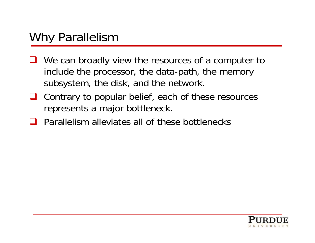- We can broadly view the resources of a computer to include the processor, the data-path, the memory subsystem, the disk, and the network.
- Contrary to popular belief, each of these resources represents a major bottleneck.
- $\Box$  Parallelism alleviates all of these bottlenecks

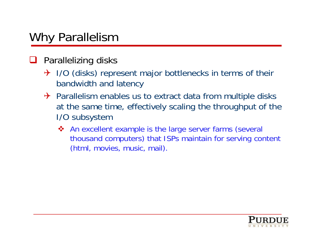#### $\Box$ Parallelizing disks

- $\rightarrow$  I/O (disks) represent major bottlenecks in terms of their bandwidth and latency
- $\rightarrow$  Parallelism enables us to extract data from multiple disks at the same time, effectively scaling the throughput of the I/O subsystem
	- ◆ An excellent example is the large server farms (several thousand computers) that ISPs maintain for serving content (html, movies, music, mail).

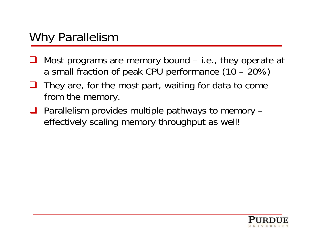- $\Box$  Most programs are memory bound – i.e., they operate at a small fraction of peak CPU performance (10 – 20%)
- $\Box$  They are, for the most part, waiting for data to come from the memory.
- $\Box$  Parallelism provides multiple pathways to memory  $$ effectively scaling memory throughput as well!

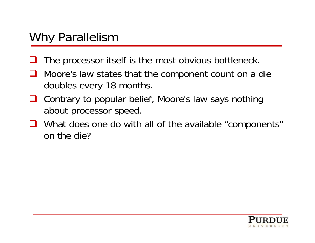- $\Box$ The processor itself is the most obvious bottleneck.
- $\Box$  Moore's law states that the component count on a die doubles every 18 months.
- $\sqcup$  Contrary to popular belief, Moore's law says nothing about processor speed.
- What does one do with all of the available "components" on the die?

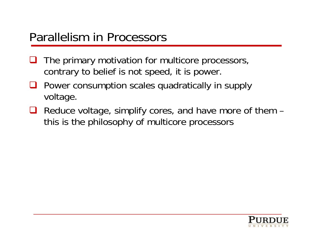# Parallelism in Processors

- $\Box$  The primary motivation for multicore processors, contrary to belief is not speed, it is power.
- $\sqcup$  Power consumption scales quadratically in supply voltage.
- Reduce voltage, simplify cores, and have more of them this is the philosophy of multicore processors